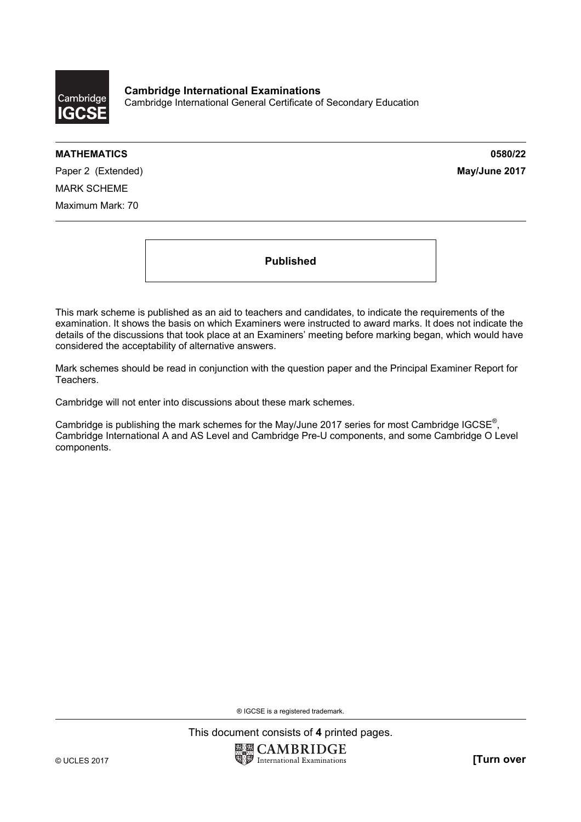

**Cambridge International Examinations**  Cambridge International General Certificate of Secondary Education

## **MATHEMATICS 0580/22**

Paper 2 (Extended) **May/June 2017** MARK SCHEME Maximum Mark: 70

**Published** 

This mark scheme is published as an aid to teachers and candidates, to indicate the requirements of the examination. It shows the basis on which Examiners were instructed to award marks. It does not indicate the details of the discussions that took place at an Examiners' meeting before marking began, which would have considered the acceptability of alternative answers.

Mark schemes should be read in conjunction with the question paper and the Principal Examiner Report for Teachers.

Cambridge will not enter into discussions about these mark schemes.

Cambridge is publishing the mark schemes for the May/June 2017 series for most Cambridge IGCSE<sup>®</sup>, Cambridge International A and AS Level and Cambridge Pre-U components, and some Cambridge O Level components.

® IGCSE is a registered trademark.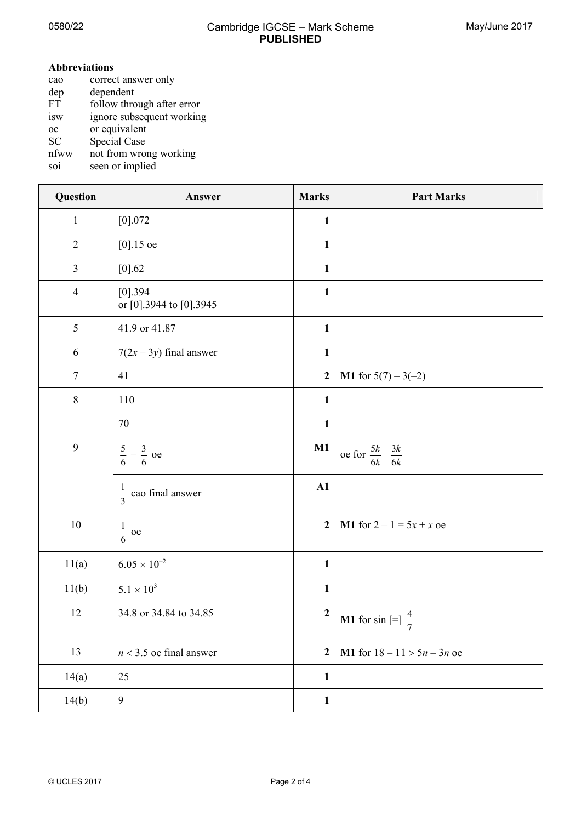$\overline{\phantom{a}}$ 

## **Abbreviations**

- cao correct answer only<br>dep dependent dep dependent<br>FT follow thro follow through after error isw ignore subsequent working oe or equivalent SC Special Case
- nfww not from wrong working
- soi seen or implied

| Question       | Answer                                | <b>Marks</b>     | <b>Part Marks</b>                             |
|----------------|---------------------------------------|------------------|-----------------------------------------------|
| $\mathbf{1}$   | $[0]$ .072                            | $\mathbf{1}$     |                                               |
| $\overline{2}$ | $[0].15$ oe                           | $\mathbf{1}$     |                                               |
| $\overline{3}$ | [0] 0.62                              | $\mathbf{1}$     |                                               |
| $\overline{4}$ | $[0]$ .394<br>or [0].3944 to [0].3945 | $\mathbf{1}$     |                                               |
| 5              | 41.9 or 41.87                         | $\mathbf{1}$     |                                               |
| 6              | $7(2x-3y)$ final answer               | $\mathbf{1}$     |                                               |
| $\tau$         | 41                                    | $\boldsymbol{2}$ | <b>M1</b> for $5(7) - 3(-2)$                  |
| $8\,$          | 110                                   | $\mathbf{1}$     |                                               |
|                | 70                                    | $\mathbf{1}$     |                                               |
| 9              | $\frac{5}{6} - \frac{3}{6}$ oe        | M1               | oe for $\frac{5k}{6k} - \frac{3k}{6k}$        |
|                | $\frac{1}{3}$ cao final answer        | A1               |                                               |
| $10\,$         | $\frac{1}{6}$ oe                      | 2 <sup>1</sup>   | <b>M1</b> for $2 - 1 = 5x + x$ oe             |
| 11(a)          | $6.05 \times 10^{-2}$                 | $\mathbf{1}$     |                                               |
| 11(b)          | $5.1\times10^3$                       | $\mathbf{1}$     |                                               |
| 12             | 34.8 or 34.84 to 34.85                | $\boldsymbol{2}$ | <b>M1</b> for sin $\left[-\frac{1}{7}\right]$ |
| 13             | $n < 3.5$ oe final answer             | $\overline{2}$   | M1 for $18 - 11 > 5n - 3n$ oe                 |
| 14(a)          | 25                                    | $\mathbf{1}$     |                                               |
| 14(b)          | $\overline{9}$                        | $\mathbf{1}$     |                                               |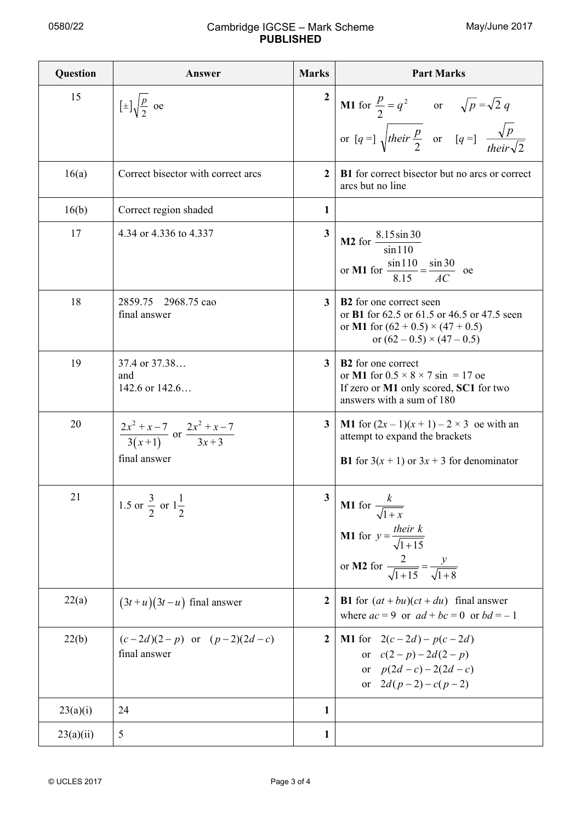## 0580/22 Cambridge IGCSE – Mark Scheme **PUBLISHED**

| Question  | Answer                                                                       | <b>Marks</b>            | <b>Part Marks</b>                                                                                                                                                     |
|-----------|------------------------------------------------------------------------------|-------------------------|-----------------------------------------------------------------------------------------------------------------------------------------------------------------------|
| 15        | $[\pm] \sqrt{\frac{p}{2}}$ oe                                                | $\mathbf{2}$            | <b>M1</b> for $\frac{p}{2} = q^2$ or $\sqrt{p} = \sqrt{2} q$<br>or $[q = ]\sqrt{their \frac{p}{2}}$ or $[q = ]\frac{\sqrt{p}}{their \sqrt{2}}$                        |
|           |                                                                              |                         |                                                                                                                                                                       |
| 16(a)     | Correct bisector with correct arcs                                           | $\mathbf{2}$            | <b>B1</b> for correct bisector but no arcs or correct<br>arcs but no line                                                                                             |
| 16(b)     | Correct region shaded                                                        | $\mathbf{1}$            |                                                                                                                                                                       |
| 17        | 4.34 or 4.336 to 4.337                                                       | $\overline{\mathbf{3}}$ | <b>M2</b> for $\frac{8.15 \sin 30}{\sin 110}$<br>or <b>M1</b> for $\frac{\sin 110}{8.15} = \frac{\sin 30}{AC}$ oe                                                     |
| 18        | 2859.75 2968.75 cao<br>final answer                                          | 3 <sup>1</sup>          | <b>B2</b> for one correct seen<br>or <b>B1</b> for 62.5 or 61.5 or 46.5 or 47.5 seen<br>or M1 for $(62 + 0.5) \times (47 + 0.5)$<br>or $(62 - 0.5) \times (47 - 0.5)$ |
| 19        | 37.4 or 37.38<br>and<br>142.6 or 142.6                                       | 3 <sup>1</sup>          | <b>B2</b> for one correct<br>or M1 for $0.5 \times 8 \times 7 \sin = 17$ oe<br>If zero or M1 only scored, SC1 for two<br>answers with a sum of 180                    |
| 20        | $\frac{2x^2 + x - 7}{3(x+1)}$ or $\frac{2x^2 + x - 7}{3x+3}$<br>final answer | 3 <sup>1</sup>          | <b>M1</b> for $(2x-1)(x+1)-2 \times 3$ oe with an<br>attempt to expand the brackets<br><b>B1</b> for $3(x + 1)$ or $3x + 3$ for denominator                           |
| 21        | 1.5 or $\frac{3}{2}$ or $1\frac{1}{2}$                                       | $\mathbf{3}$            | <b>M1</b> for $\frac{k}{\sqrt{1+x}}$<br><b>M1</b> for $y = \frac{their k}{\sqrt{1+15}}$<br>or <b>M2</b> for $\frac{2}{\sqrt{1+15}} = \frac{y}{\sqrt{1+8}}$            |
| 22(a)     | $(3t+u)(3t-u)$ final answer                                                  | $\boldsymbol{2}$        | <b>B1</b> for $(at + bu)(ct + du)$ final answer<br>where $ac = 9$ or $ad + bc = 0$ or $bd = -1$                                                                       |
| 22(b)     | $(c-2d)(2-p)$ or $(p-2)(2d-c)$<br>final answer                               | $\boldsymbol{2}$        | <b>M1</b> for $2(c-2d) - p(c-2d)$<br>or $c(2-p) - 2d(2-p)$<br>or $p(2d-c) - 2(2d-c)$<br>or $2d(p-2)-c(p-2)$                                                           |
| 23(a)(i)  | 24                                                                           | 1                       |                                                                                                                                                                       |
| 23(a)(ii) | 5                                                                            | 1                       |                                                                                                                                                                       |